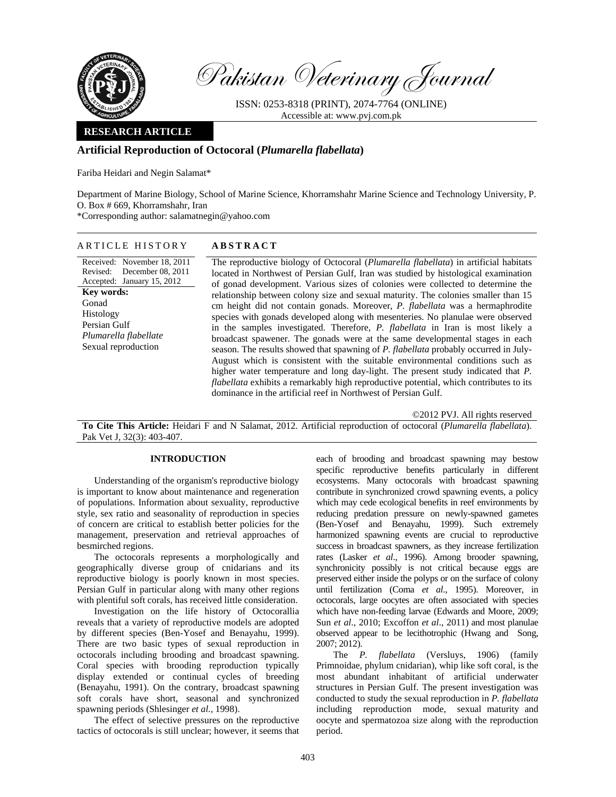

Pakistan Veterinary Journal

ISSN: 0253-8318 (PRINT), 2074-7764 (ONLINE) Accessible at: www.pvj.com.pk

### **RESEARCH ARTICLE**

# **Artificial Reproduction of Octocoral (***Plumarella flabellata***)**

Fariba Heidari and Negin Salamat\*

Department of Marine Biology, School of Marine Science, Khorramshahr Marine Science and Technology University, P. O. Box # 669, Khorramshahr, Iran

\*Corresponding author: salamatnegin@yahoo.com

## ARTICLE HISTORY **ABSTRACT**

Received: November 18, 2011 Revised: December 08, 2011 Accepted: January 15, 2012 **Key words:**  Gonad Histology Persian Gulf *Plumarella flabellate*  Sexual reproduction

The reproductive biology of Octocoral (*Plumarella flabellata*) in artificial habitats located in Northwest of Persian Gulf, Iran was studied by histological examination of gonad development. Various sizes of colonies were collected to determine the relationship between colony size and sexual maturity. The colonies smaller than 15 cm height did not contain gonads. Moreover, *P. flabellata* was a hermaphrodite species with gonads developed along with mesenteries. No planulae were observed in the samples investigated. Therefore, *P. flabellata* in Iran is most likely a broadcast spawener. The gonads were at the same developmental stages in each season. The results showed that spawning of *P. flabellata* probably occurred in July-August which is consistent with the suitable environmental conditions such as higher water temperature and long day-light. The present study indicated that *P. flabellata* exhibits a remarkably high reproductive potential, which contributes to its dominance in the artificial reef in Northwest of Persian Gulf.

©2012 PVJ. All rights reserved

**To Cite This Article:** Heidari F and N Salamat, 2012. Artificial reproduction of octocoral (*Plumarella flabellata*). Pak Vet J, 32(3): 403-407.

# **INTRODUCTION**

Understanding of the organism's reproductive biology is important to know about maintenance and regeneration of populations. Information about sexuality, reproductive style, sex ratio and seasonality of reproduction in species of concern are critical to establish better policies for the management, preservation and retrieval approaches of besmirched regions.

The octocorals represents a morphologically and geographically diverse group of cnidarians and its reproductive biology is poorly known in most species. Persian Gulf in particular along with many other regions with plentiful soft corals, has received little consideration.

Investigation on the life history of Octocorallia reveals that a variety of reproductive models are adopted by different species (Ben-Yosef and Benayahu, 1999). There are two basic types of sexual reproduction in octocorals including brooding and broadcast spawning. Coral species with brooding reproduction typically display extended or continual cycles of breeding (Benayahu, 1991). On the contrary, broadcast spawning soft corals have short, seasonal and synchronized spawning periods (Shlesinger *et al.*, 1998).

 The effect of selective pressures on the reproductive tactics of octocorals is still unclear; however, it seems that each of brooding and broadcast spawning may bestow specific reproductive benefits particularly in different ecosystems. Many octocorals with broadcast spawning contribute in synchronized crowd spawning events, a policy which may cede ecological benefits in reef environments by reducing predation pressure on newly-spawned gametes (Ben-Yosef and Benayahu, 1999). Such extremely harmonized spawning events are crucial to reproductive success in broadcast spawners, as they increase fertilization rates (Lasker *et al*., 1996). Among brooder spawning, synchronicity possibly is not critical because eggs are preserved either inside the polyps or on the surface of colony until fertilization (Coma *et al*., 1995). Moreover, in octocorals, large oocytes are often associated with species which have non-feeding larvae (Edwards and Moore, 2009; Sun *et al*., 2010; Excoffon *et al*., 2011) and most planulae observed appear to be lecithotrophic (Hwang and Song, 2007; 2012).

 The *P. flabellata* (Versluys, 1906) (family Primnoidae, phylum cnidarian), whip like soft coral, is the most abundant inhabitant of artificial underwater structures in Persian Gulf. The present investigation was conducted to study the sexual reproduction in *P. flabellata*  including reproduction mode, sexual maturity and oocyte and spermatozoa size along with the reproduction period.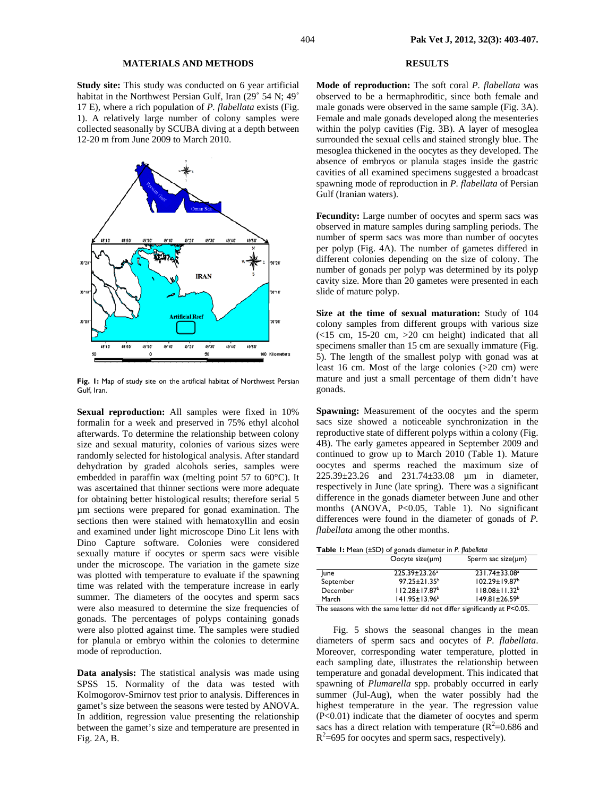### **MATERIALS AND METHODS**

**Study site:** This study was conducted on 6 year artificial habitat in the Northwest Persian Gulf, Iran (29˚ 54 N; 49˚ 17 E), where a rich population of *P. flabellata* exists (Fig. 1). A relatively large number of colony samples were collected seasonally by SCUBA diving at a depth between 12-20 m from June 2009 to March 2010.



Fig. 1: Map of study site on the artificial habitat of Northwest Persian Gulf, Iran.

**Sexual reproduction:** All samples were fixed in 10% formalin for a week and preserved in 75% ethyl alcohol afterwards. To determine the relationship between colony size and sexual maturity, colonies of various sizes were randomly selected for histological analysis. After standard dehydration by graded alcohols series, samples were embedded in paraffin wax (melting point 57 to 60°C). It was ascertained that thinner sections were more adequate for obtaining better histological results; therefore serial 5 µm sections were prepared for gonad examination. The sections then were stained with hematoxyllin and eosin and examined under light microscope Dino Lit lens with Dino Capture software. Colonies were considered sexually mature if oocytes or sperm sacs were visible under the microscope. The variation in the gamete size was plotted with temperature to evaluate if the spawning time was related with the temperature increase in early summer. The diameters of the oocytes and sperm sacs were also measured to determine the size frequencies of gonads. The percentages of polyps containing gonads were also plotted against time. The samples were studied for planula or embryo within the colonies to determine mode of reproduction.

**Data analysis:** The statistical analysis was made using SPSS 15. Normality of the data was tested with Kolmogorov-Smirnov test prior to analysis. Differences in gamet's size between the seasons were tested by ANOVA. In addition, regression value presenting the relationship between the gamet's size and temperature are presented in Fig. 2A, B.

# **RESULTS**

**Mode of reproduction:** The soft coral *P. flabellata* was observed to be a hermaphroditic, since both female and male gonads were observed in the same sample (Fig. 3A). Female and male gonads developed along the mesenteries within the polyp cavities (Fig. 3B). A layer of mesoglea surrounded the sexual cells and stained strongly blue. The mesoglea thickened in the oocytes as they developed. The absence of embryos or planula stages inside the gastric cavities of all examined specimens suggested a broadcast spawning mode of reproduction in *P. flabellata* of Persian Gulf (Iranian waters).

Fecundity: Large number of oocytes and sperm sacs was observed in mature samples during sampling periods. The number of sperm sacs was more than number of oocytes per polyp (Fig. 4A). The number of gametes differed in different colonies depending on the size of colony. The number of gonads per polyp was determined by its polyp cavity size. More than 20 gametes were presented in each slide of mature polyp.

**Size at the time of sexual maturation:** Study of 104 colony samples from different groups with various size  $(<15$  cm, 15-20 cm,  $>20$  cm height) indicated that all specimens smaller than 15 cm are sexually immature (Fig. 5). The length of the smallest polyp with gonad was at least 16 cm. Most of the large colonies (>20 cm) were mature and just a small percentage of them didn't have gonads.

**Spawning:** Measurement of the oocytes and the sperm sacs size showed a noticeable synchronization in the reproductive state of different polyps within a colony (Fig. 4B). The early gametes appeared in September 2009 and continued to grow up to March 2010 (Table 1). Mature oocytes and sperms reached the maximum size of 225.39±23.26 and 231.74±33.08 µm in diameter, respectively in June (late spring). There was a significant difference in the gonads diameter between June and other months (ANOVA, P<0.05, Table 1). No significant differences were found in the diameter of gonads of *P. flabellata* among the other months.

| <b>Table I:</b> Mean (±SD) of gonads diameter in P. flabellata |                                 |                           |
|----------------------------------------------------------------|---------------------------------|---------------------------|
|                                                                | Oocyte size( $\mu$ m)           | Sperm sac size( $\mu$ m)  |
| lune                                                           | 225.39±23.26 <sup>a</sup>       | 231.74±33.08 <sup>a</sup> |
| September                                                      | $97.25 \pm 21.35^b$             | 102.29±19.87 <sup>b</sup> |
| December                                                       | $112.28 \pm 17.87$ <sup>b</sup> | $118.08 \pm 11.32^b$      |
| March                                                          | 141.95±13.96 <sup>b</sup>       | $149.81 \pm 26.59^b$      |

The seasons with the same letter did not differ significantly at P<0.05.

Fig. 5 shows the seasonal changes in the mean diameters of sperm sacs and oocytes of *P. flabellata*. Moreover, corresponding water temperature, plotted in each sampling date, illustrates the relationship between temperature and gonadal development. This indicated that spawning of *Plumarella* spp. probably occurred in early summer (Jul-Aug), when the water possibly had the highest temperature in the year. The regression value (P<0.01) indicate that the diameter of oocytes and sperm sacs has a direct relation with temperature  $(R^2=0.686$  and  $R^2$ =695 for oocytes and sperm sacs, respectively).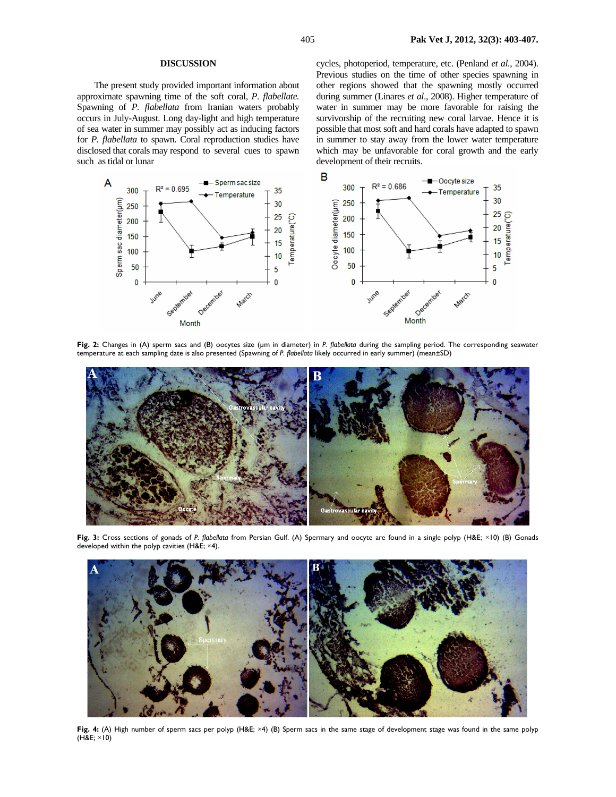#### **DISCUSSION**

 The present study provided important information about approximate spawning time of the soft coral, *P. flabellate.* Spawning of *P. flabellata* from Iranian waters probably occurs in July-August. Long day-light and high temperature of sea water in summer may possibly act as inducing factors for *P. flabellata* to spawn. Coral reproduction studies have disclosed that corals may respond to several cues to spawn such as tidal or lunar

cycles, photoperiod, temperature, etc. (Penland *et al.*, 2004). Previous studies on the time of other species spawning in other regions showed that the spawning mostly occurred during summer (Linares *et al*., 2008). Higher temperature of water in summer may be more favorable for raising the survivorship of the recruiting new coral larvae. Hence it is possible that most soft and hard corals have adapted to spawn in summer to stay away from the lower water temperature which may be unfavorable for coral growth and the early development of their recruits.



**Fig. 2:** Changes in (A) sperm sacs and (B) oocytes size (µm in diameter) in *P. flabellata* during the sampling period. The corresponding seawater temperature at each sampling date is also presented (Spawning of *P. flabellata* likely occurred in early summer) (mean±SD)



**Fig. 3:** Cross sections of gonads of *P. flabellata* from Persian Gulf. (A) Spermary and oocyte are found in a single polyp (H&E; ×10) (B) Gonads developed within the polyp cavities (H&E; ×4).



**Fig. 4:** (A) High number of sperm sacs per polyp (H&E; ×4) (B) Sperm sacs in the same stage of development stage was found in the same polyp (H&E; ×10)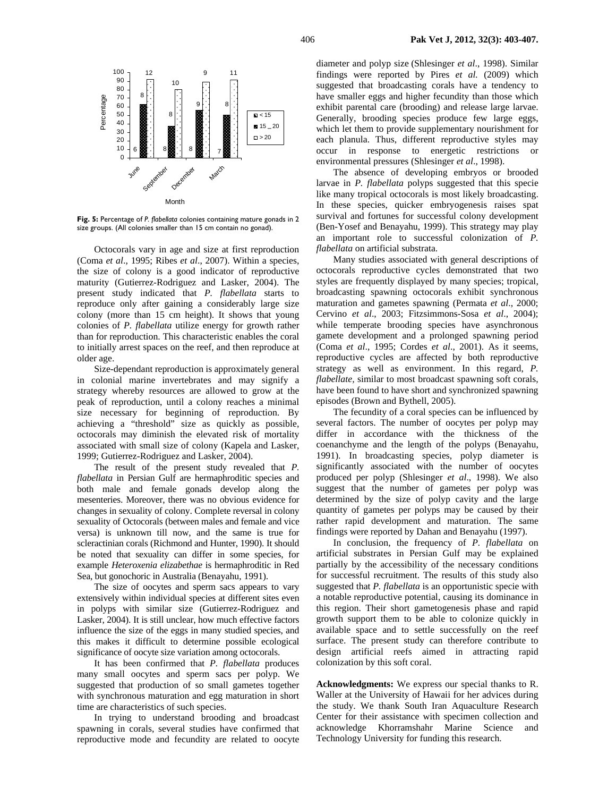

**Fig. 5:** Percentage of *P. flabellata* colonies containing mature gonads in 2 size groups. (All colonies smaller than 15 cm contain no gonad).

Octocorals vary in age and size at first reproduction (Coma *et al*., 1995; Ribes *et al*., 2007). Within a species, the size of colony is a good indicator of reproductive maturity (Gutierrez-Rodriguez and Lasker, 2004). The present study indicated that *P. flabellata* starts to reproduce only after gaining a considerably large size colony (more than 15 cm height). It shows that young colonies of *P. flabellata* utilize energy for growth rather than for reproduction. This characteristic enables the coral to initially arrest spaces on the reef, and then reproduce at older age.

 Size-dependant reproduction is approximately general in colonial marine invertebrates and may signify a strategy whereby resources are allowed to grow at the peak of reproduction, until a colony reaches a minimal size necessary for beginning of reproduction. By achieving a "threshold" size as quickly as possible, octocorals may diminish the elevated risk of mortality associated with small size of colony (Kapela and Lasker, 1999; Gutierrez-Rodriguez and Lasker, 2004).

The result of the present study revealed that *P. flabellata* in Persian Gulf are hermaphroditic species and both male and female gonads develop along the mesenteries. Moreover, there was no obvious evidence for changes in sexuality of colony. Complete reversal in colony sexuality of Octocorals (between males and female and vice versa) is unknown till now, and the same is true for scleractinian corals (Richmond and Hunter, 1990). It should be noted that sexuality can differ in some species, for example *Heteroxenia elizabethae* is hermaphroditic in Red Sea, but gonochoric in Australia (Benayahu, 1991).

The size of oocytes and sperm sacs appears to vary extensively within individual species at different sites even in polyps with similar size (Gutierrez-Rodriguez and Lasker, 2004). It is still unclear, how much effective factors influence the size of the eggs in many studied species, and this makes it difficult to determine possible ecological significance of oocyte size variation among octocorals.

It has been confirmed that *P. flabellata* produces many small oocytes and sperm sacs per polyp. We suggested that production of so small gametes together with synchronous maturation and egg maturation in short time are characteristics of such species.

In trying to understand brooding and broadcast spawning in corals, several studies have confirmed that reproductive mode and fecundity are related to oocyte

diameter and polyp size (Shlesinger *et al*., 1998). Similar findings were reported by Pires *et al.* (2009) which suggested that broadcasting corals have a tendency to have smaller eggs and higher fecundity than those which exhibit parental care (brooding) and release large larvae. Generally, brooding species produce few large eggs, which let them to provide supplementary nourishment for each planula. Thus, different reproductive styles may occur in response to energetic restrictions or environmental pressures (Shlesinger *et al*., 1998).

The absence of developing embryos or brooded larvae in *P. flabellata* polyps suggested that this specie like many tropical octocorals is most likely broadcasting. In these species, quicker embryogenesis raises spat survival and fortunes for successful colony development (Ben-Yosef and Benayahu, 1999). This strategy may play an important role to successful colonization of *P. flabellata* on artificial substrata.

Many studies associated with general descriptions of octocorals reproductive cycles demonstrated that two styles are frequently displayed by many species; tropical, broadcasting spawning octocorals exhibit synchronous maturation and gametes spawning (Permata *et al*., 2000; Cervino *et al*., 2003; Fitzsimmons-Sosa *et al*., 2004); while temperate brooding species have asynchronous gamete development and a prolonged spawning period (Coma *et al*., 1995; Cordes *et al*., 2001). As it seems, reproductive cycles are affected by both reproductive strategy as well as environment. In this regard, *P. flabellate,* similar to most broadcast spawning soft corals, have been found to have short and synchronized spawning episodes (Brown and Bythell, 2005).

The fecundity of a coral species can be influenced by several factors. The number of oocytes per polyp may differ in accordance with the thickness of the coenanchyme and the length of the polyps (Benayahu, 1991). In broadcasting species, polyp diameter is significantly associated with the number of oocytes produced per polyp (Shlesinger *et al*., 1998). We also suggest that the number of gametes per polyp was determined by the size of polyp cavity and the large quantity of gametes per polyps may be caused by their rather rapid development and maturation. The same findings were reported by Dahan and Benayahu (1997).

In conclusion, the frequency of *P. flabellata* on artificial substrates in Persian Gulf may be explained partially by the accessibility of the necessary conditions for successful recruitment. The results of this study also suggested that *P. flabellata* is an opportunistic specie with a notable reproductive potential, causing its dominance in this region. Their short gametogenesis phase and rapid growth support them to be able to colonize quickly in available space and to settle successfully on the reef surface. The present study can therefore contribute to design artificial reefs aimed in attracting rapid colonization by this soft coral.

**Acknowledgments:** We express our special thanks to R. Waller at the University of Hawaii for her advices during the study. We thank South Iran Aquaculture Research Center for their assistance with specimen collection and acknowledge Khorramshahr Marine Science and Technology University for funding this research.